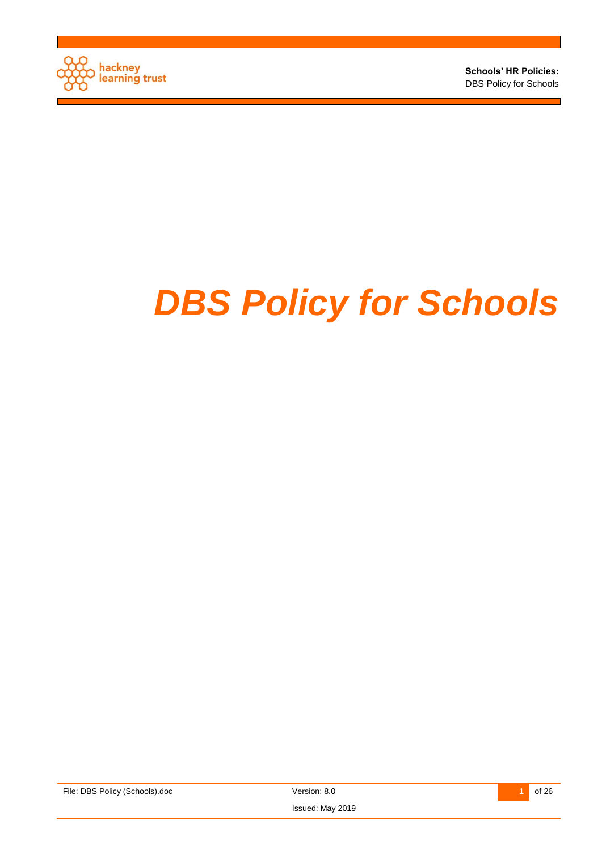

**Schools' HR Policies:**  DBS Policy for Schools

# *DBS Policy for Schools*

File: DBS Policy (Schools).doc Version: 8.0 26 26



Issued: May 2019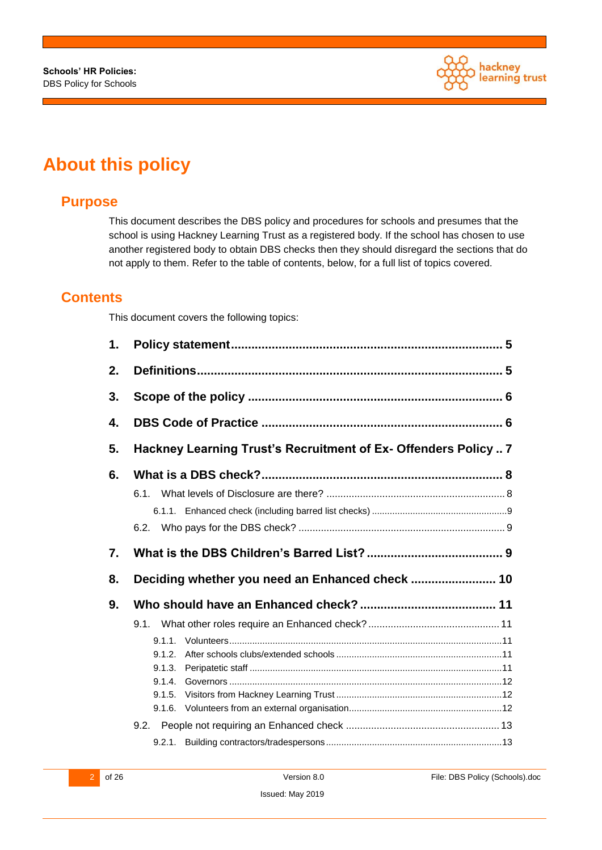

# **About this policy**

## **Purpose**

This document describes the DBS policy and procedures for schools and presumes that the school is using Hackney Learning Trust as a registered body. If the school has chosen to use another registered body to obtain DBS checks then they should disregard the sections that do not apply to them. Refer to the table of contents, below, for a full list of topics covered.

#### **Contents**

This document covers the following topics:

| 1. |                                                                |
|----|----------------------------------------------------------------|
| 2. |                                                                |
| 3. |                                                                |
| 4. |                                                                |
| 5. | Hackney Learning Trust's Recruitment of Ex- Offenders Policy 7 |
| 6. |                                                                |
|    |                                                                |
| 7. |                                                                |
| 8. | Deciding whether you need an Enhanced check  10                |
| 9. |                                                                |
|    | $9.1.1$ .<br>9.1.2.<br>9.1.3.<br>9.1.4.<br>9.1.5.              |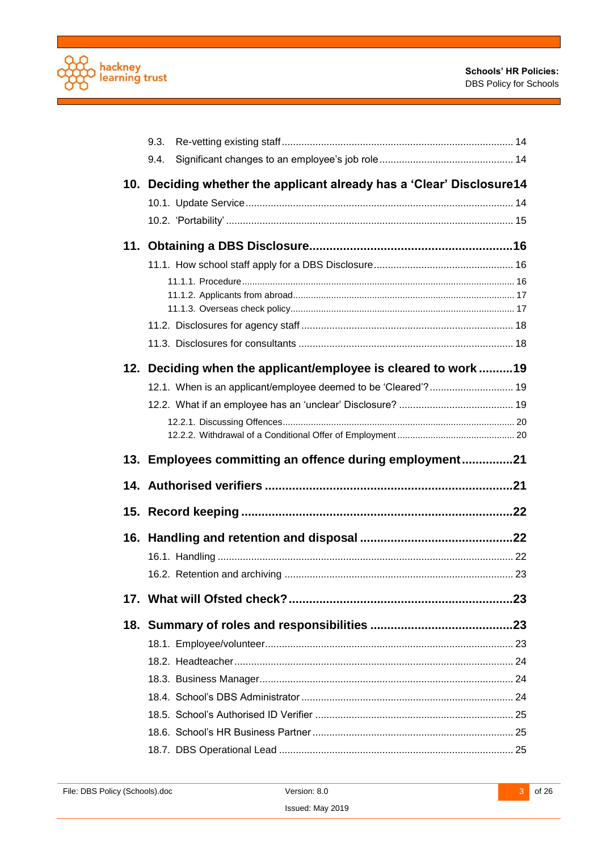

٦

| 9.3.                                                                   |  |
|------------------------------------------------------------------------|--|
| 9.4.                                                                   |  |
| 10. Deciding whether the applicant already has a 'Clear' Disclosure 14 |  |
|                                                                        |  |
|                                                                        |  |
|                                                                        |  |
|                                                                        |  |
|                                                                        |  |
|                                                                        |  |
|                                                                        |  |
|                                                                        |  |
| 12. Deciding when the applicant/employee is cleared to work19          |  |
| 12.1. When is an applicant/employee deemed to be 'Cleared'? 19         |  |
|                                                                        |  |
|                                                                        |  |
|                                                                        |  |
| 13. Employees committing an offence during employment21                |  |
|                                                                        |  |
|                                                                        |  |
|                                                                        |  |
|                                                                        |  |
|                                                                        |  |
|                                                                        |  |
|                                                                        |  |
|                                                                        |  |
|                                                                        |  |
|                                                                        |  |
|                                                                        |  |
|                                                                        |  |
|                                                                        |  |
|                                                                        |  |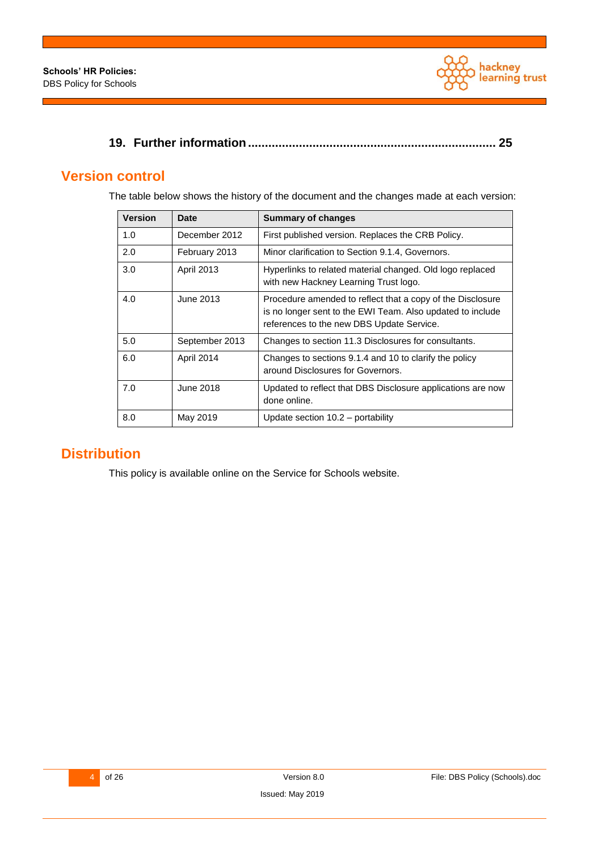

|--|--|--|

## **Version control**

The table below shows the history of the document and the changes made at each version:

| <b>Version</b> | Date              | <b>Summary of changes</b>                                                                                                                                             |
|----------------|-------------------|-----------------------------------------------------------------------------------------------------------------------------------------------------------------------|
| 1.0            | December 2012     | First published version. Replaces the CRB Policy.                                                                                                                     |
| 2.0            | February 2013     | Minor clarification to Section 9.1.4, Governors.                                                                                                                      |
| 3.0            | <b>April 2013</b> | Hyperlinks to related material changed. Old logo replaced<br>with new Hackney Learning Trust logo.                                                                    |
| 4.0            | June 2013         | Procedure amended to reflect that a copy of the Disclosure<br>is no longer sent to the EWI Team. Also updated to include<br>references to the new DBS Update Service. |
| 5.0            | September 2013    | Changes to section 11.3 Disclosures for consultants.                                                                                                                  |
| 6.0            | April 2014        | Changes to sections 9.1.4 and 10 to clarify the policy<br>around Disclosures for Governors.                                                                           |
| 7.0            | June 2018         | Updated to reflect that DBS Disclosure applications are now<br>done online.                                                                                           |
| 8.0            | May 2019          | Update section $10.2$ – portability                                                                                                                                   |

## **Distribution**

This policy is available online on the Service for Schools website.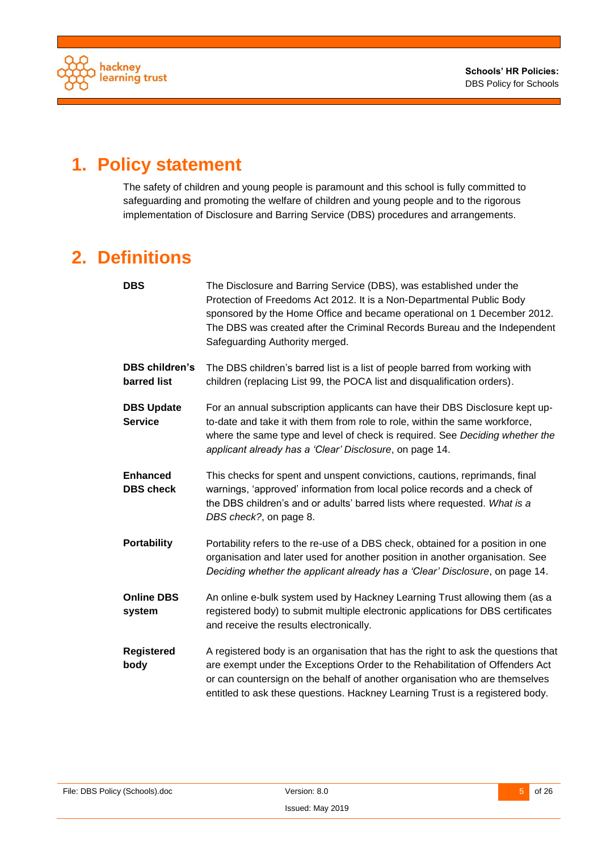

# <span id="page-4-0"></span>**1. Policy statement**

The safety of children and young people is paramount and this school is fully committed to safeguarding and promoting the welfare of children and young people and to the rigorous implementation of Disclosure and Barring Service (DBS) procedures and arrangements.

# <span id="page-4-1"></span>**2. Definitions**

| <b>DBS</b>                           | The Disclosure and Barring Service (DBS), was established under the<br>Protection of Freedoms Act 2012. It is a Non-Departmental Public Body<br>sponsored by the Home Office and became operational on 1 December 2012.<br>The DBS was created after the Criminal Records Bureau and the Independent<br>Safeguarding Authority merged. |
|--------------------------------------|----------------------------------------------------------------------------------------------------------------------------------------------------------------------------------------------------------------------------------------------------------------------------------------------------------------------------------------|
| <b>DBS children's</b><br>barred list | The DBS children's barred list is a list of people barred from working with<br>children (replacing List 99, the POCA list and disqualification orders).                                                                                                                                                                                |
| <b>DBS Update</b><br><b>Service</b>  | For an annual subscription applicants can have their DBS Disclosure kept up-<br>to-date and take it with them from role to role, within the same workforce,<br>where the same type and level of check is required. See Deciding whether the<br>applicant already has a 'Clear' Disclosure, on page 14.                                 |
| <b>Enhanced</b><br><b>DBS</b> check  | This checks for spent and unspent convictions, cautions, reprimands, final<br>warnings, 'approved' information from local police records and a check of<br>the DBS children's and or adults' barred lists where requested. What is a<br>DBS check?, on page 8.                                                                         |
| <b>Portability</b>                   | Portability refers to the re-use of a DBS check, obtained for a position in one<br>organisation and later used for another position in another organisation. See<br>Deciding whether the applicant already has a 'Clear' Disclosure, on page 14.                                                                                       |
| <b>Online DBS</b><br>system          | An online e-bulk system used by Hackney Learning Trust allowing them (as a<br>registered body) to submit multiple electronic applications for DBS certificates<br>and receive the results electronically.                                                                                                                              |
| <b>Registered</b><br>body            | A registered body is an organisation that has the right to ask the questions that<br>are exempt under the Exceptions Order to the Rehabilitation of Offenders Act<br>or can countersign on the behalf of another organisation who are themselves<br>entitled to ask these questions. Hackney Learning Trust is a registered body.      |

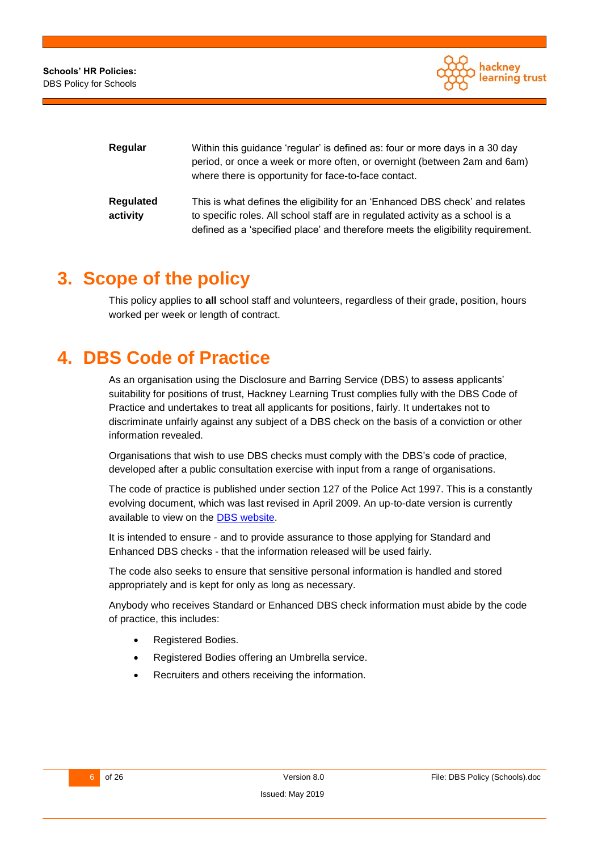

| Regular               | Within this guidance 'regular' is defined as: four or more days in a 30 day<br>period, or once a week or more often, or overnight (between 2am and 6am)<br>where there is opportunity for face-to-face contact.                                   |
|-----------------------|---------------------------------------------------------------------------------------------------------------------------------------------------------------------------------------------------------------------------------------------------|
| Regulated<br>activity | This is what defines the eligibility for an 'Enhanced DBS check' and relates<br>to specific roles. All school staff are in regulated activity as a school is a<br>defined as a 'specified place' and therefore meets the eligibility requirement. |

## <span id="page-5-0"></span>**3. Scope of the policy**

This policy applies to **all** school staff and volunteers, regardless of their grade, position, hours worked per week or length of contract.

# <span id="page-5-1"></span>**4. DBS Code of Practice**

As an organisation using the Disclosure and Barring Service (DBS) to assess applicants' suitability for positions of trust, Hackney Learning Trust complies fully with the DBS Code of Practice and undertakes to treat all applicants for positions, fairly. It undertakes not to discriminate unfairly against any subject of a DBS check on the basis of a conviction or other information revealed.

Organisations that wish to use DBS checks must comply with the DBS's code of practice, developed after a public consultation exercise with input from a range of organisations.

The code of practice is published under section 127 of the Police Act 1997. This is a constantly evolving document, which was last revised in April 2009. An up-to-date version is currently available to view on the DBS [website.](https://www.gov.uk/government/publications/dbs-code-of-practice)

It is intended to ensure - and to provide assurance to those applying for Standard and Enhanced DBS checks - that the information released will be used fairly.

The code also seeks to ensure that sensitive personal information is handled and stored appropriately and is kept for only as long as necessary.

Anybody who receives Standard or Enhanced DBS check information must abide by the code of practice, this includes:

- Registered Bodies.
- Registered Bodies offering an Umbrella service.
- Recruiters and others receiving the information.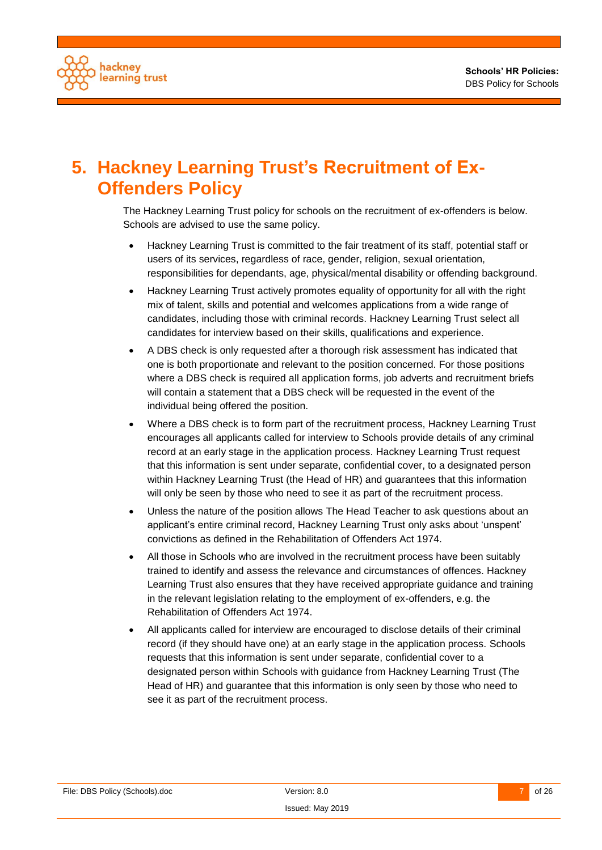

# <span id="page-6-0"></span>**5. Hackney Learning Trust's Recruitment of Ex-Offenders Policy**

The Hackney Learning Trust policy for schools on the recruitment of ex-offenders is below. Schools are advised to use the same policy.

- Hackney Learning Trust is committed to the fair treatment of its staff, potential staff or users of its services, regardless of race, gender, religion, sexual orientation, responsibilities for dependants, age, physical/mental disability or offending background.
- Hackney Learning Trust actively promotes equality of opportunity for all with the right mix of talent, skills and potential and welcomes applications from a wide range of candidates, including those with criminal records. Hackney Learning Trust select all candidates for interview based on their skills, qualifications and experience.
- A DBS check is only requested after a thorough risk assessment has indicated that one is both proportionate and relevant to the position concerned. For those positions where a DBS check is required all application forms, job adverts and recruitment briefs will contain a statement that a DBS check will be requested in the event of the individual being offered the position.
- Where a DBS check is to form part of the recruitment process, Hackney Learning Trust encourages all applicants called for interview to Schools provide details of any criminal record at an early stage in the application process. Hackney Learning Trust request that this information is sent under separate, confidential cover, to a designated person within Hackney Learning Trust (the Head of HR) and guarantees that this information will only be seen by those who need to see it as part of the recruitment process.
- Unless the nature of the position allows The Head Teacher to ask questions about an applicant's entire criminal record, Hackney Learning Trust only asks about 'unspent' convictions as defined in the Rehabilitation of Offenders Act 1974.
- All those in Schools who are involved in the recruitment process have been suitably trained to identify and assess the relevance and circumstances of offences. Hackney Learning Trust also ensures that they have received appropriate guidance and training in the relevant legislation relating to the employment of ex-offenders, e.g. the Rehabilitation of Offenders Act 1974.
- All applicants called for interview are encouraged to disclose details of their criminal record (if they should have one) at an early stage in the application process. Schools requests that this information is sent under separate, confidential cover to a designated person within Schools with guidance from Hackney Learning Trust (The Head of HR) and guarantee that this information is only seen by those who need to see it as part of the recruitment process.

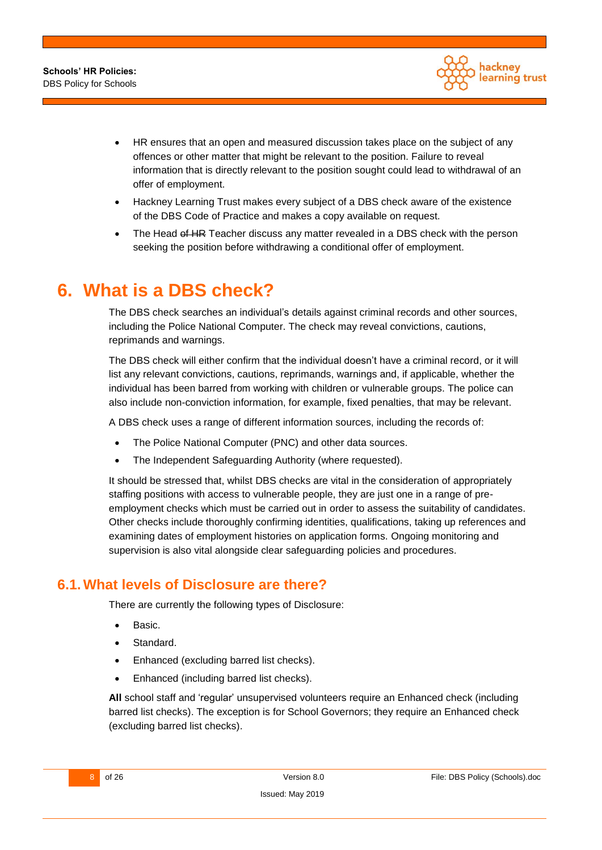

- HR ensures that an open and measured discussion takes place on the subject of any offences or other matter that might be relevant to the position. Failure to reveal information that is directly relevant to the position sought could lead to withdrawal of an offer of employment.
- Hackney Learning Trust makes every subject of a DBS check aware of the existence of the DBS Code of Practice and makes a copy available on request.
- The Head of HR Teacher discuss any matter revealed in a DBS check with the person seeking the position before withdrawing a conditional offer of employment.

# <span id="page-7-0"></span>**6. What is a DBS check?**

The DBS check searches an individual's details against criminal records and other sources, including the Police National Computer. The check may reveal convictions, cautions, reprimands and warnings.

The DBS check will either confirm that the individual doesn't have a criminal record, or it will list any relevant convictions, cautions, reprimands, warnings and, if applicable, whether the individual has been barred from working with children or vulnerable groups. The police can also include non-conviction information, for example, fixed penalties, that may be relevant.

A DBS check uses a range of different information sources, including the records of:

- The Police National Computer (PNC) and other data sources.
- The Independent Safeguarding Authority (where requested).

It should be stressed that, whilst DBS checks are vital in the consideration of appropriately staffing positions with access to vulnerable people, they are just one in a range of preemployment checks which must be carried out in order to assess the suitability of candidates. Other checks include thoroughly confirming identities, qualifications, taking up references and examining dates of employment histories on application forms. Ongoing monitoring and supervision is also vital alongside clear safeguarding policies and procedures.

### <span id="page-7-1"></span>**6.1.What levels of Disclosure are there?**

There are currently the following types of Disclosure:

- Basic.
- Standard.
- Enhanced (excluding barred list checks).
- Enhanced (including barred list checks).

**All** school staff and 'regular' unsupervised volunteers require an Enhanced check (including barred list checks). The exception is for School Governors; they require an Enhanced check (excluding barred list checks).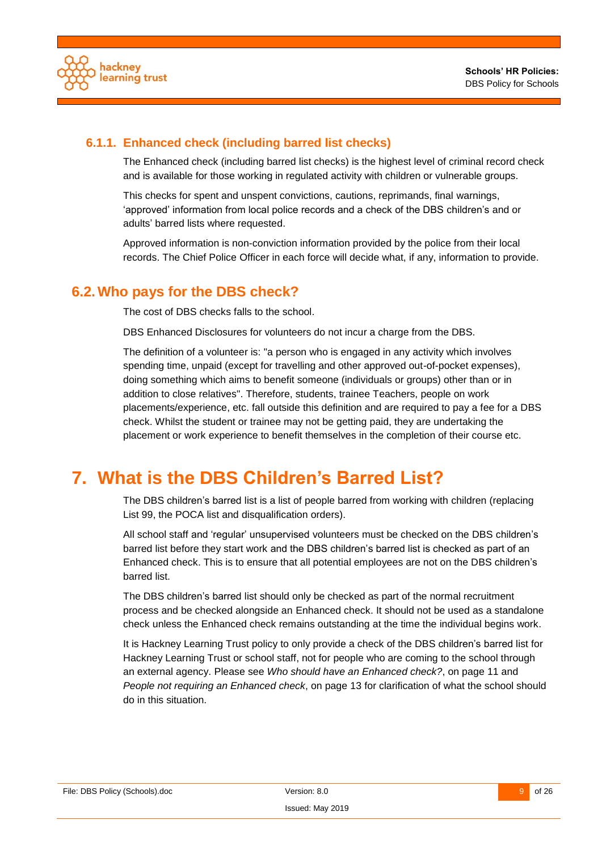

#### <span id="page-8-0"></span>**6.1.1. Enhanced check (including barred list checks)**

The Enhanced check (including barred list checks) is the highest level of criminal record check and is available for those working in regulated activity with children or vulnerable groups.

This checks for spent and unspent convictions, cautions, reprimands, final warnings, 'approved' information from local police records and a check of the DBS children's and or adults' barred lists where requested.

Approved information is non-conviction information provided by the police from their local records. The Chief Police Officer in each force will decide what, if any, information to provide.

#### <span id="page-8-1"></span>**6.2.Who pays for the DBS check?**

The cost of DBS checks falls to the school.

DBS Enhanced Disclosures for volunteers do not incur a charge from the DBS.

The definition of a volunteer is: "a person who is engaged in any activity which involves spending time, unpaid (except for travelling and other approved out-of-pocket expenses), doing something which aims to benefit someone (individuals or groups) other than or in addition to close relatives". Therefore, students, trainee Teachers, people on work placements/experience, etc. fall outside this definition and are required to pay a fee for a DBS check. Whilst the student or trainee may not be getting paid, they are undertaking the placement or work experience to benefit themselves in the completion of their course etc.

# <span id="page-8-2"></span>**7. What is the DBS Children's Barred List?**

The DBS children's barred list is a list of people barred from working with children (replacing List 99, the POCA list and disqualification orders).

All school staff and 'regular' unsupervised volunteers must be checked on the DBS children's barred list before they start work and the DBS children's barred list is checked as part of an Enhanced check. This is to ensure that all potential employees are not on the DBS children's barred list.

The DBS children's barred list should only be checked as part of the normal recruitment process and be checked alongside an Enhanced check. It should not be used as a standalone check unless the Enhanced check remains outstanding at the time the individual begins work.

It is Hackney Learning Trust policy to only provide a check of the DBS children's barred list for Hackney Learning Trust or school staff, not for people who are coming to the school through an external agency. Please see *Who should have an [Enhanced check?](#page-10-0)*, on page [11](#page-10-0) and *[People not requiring an Enhanced check](#page-12-0)*, on page [13](#page-12-0) for clarification of what the school should do in this situation.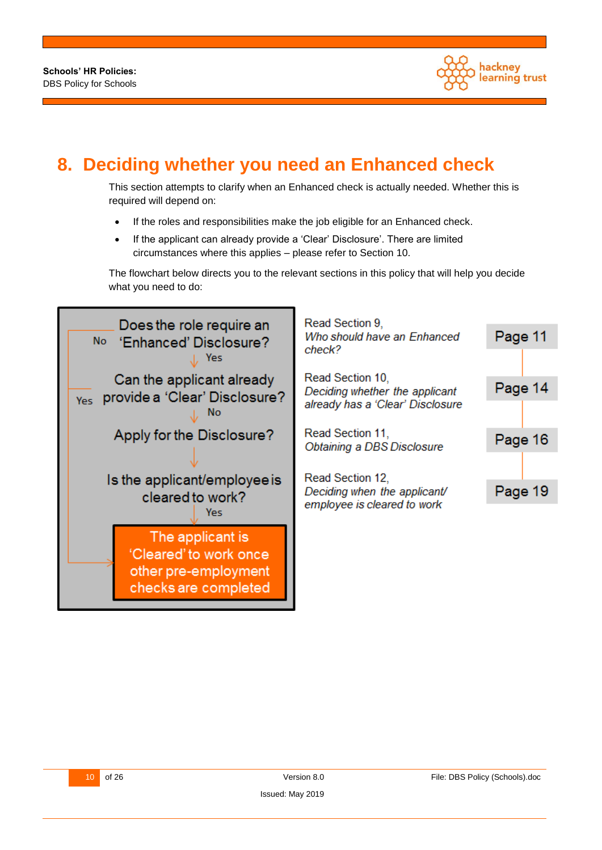

# <span id="page-9-0"></span>**8. Deciding whether you need an Enhanced check**

This section attempts to clarify when an Enhanced check is actually needed. Whether this is required will depend on:

- If the roles and responsibilities make the job eligible for an Enhanced check.
- If the applicant can already provide a 'Clear' Disclosure'. There are limited circumstances where this applies – please refer to Section [10.](#page-13-2)

The flowchart below directs you to the relevant sections in this policy that will help you decide what you need to do:

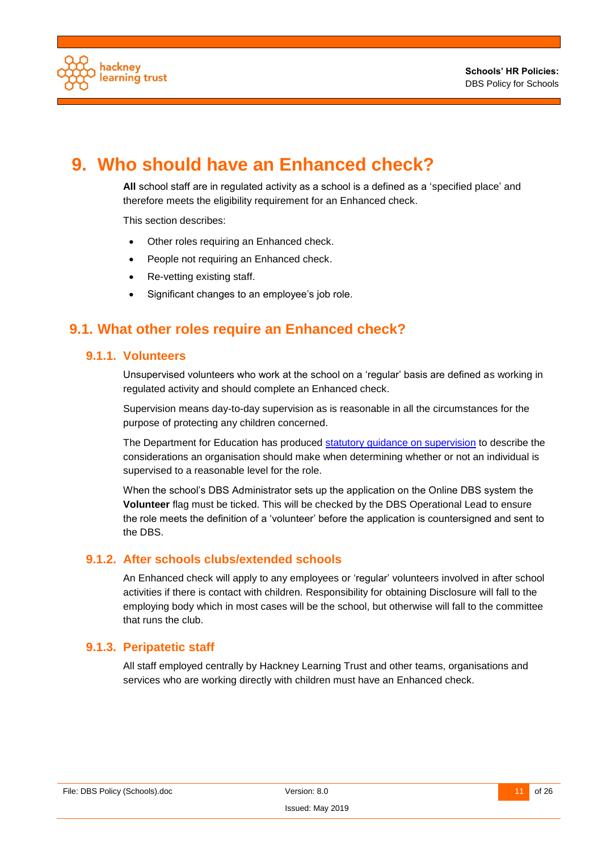

# <span id="page-10-0"></span>**9. Who should have an Enhanced check?**

**All** school staff are in regulated activity as a school is a defined as a 'specified place' and therefore meets the eligibility requirement for an Enhanced check.

This section describes:

- Other roles requiring an Enhanced check.
- People not requiring an Enhanced check.
- Re-vetting existing staff.
- Significant changes to an employee's job role.

## <span id="page-10-2"></span><span id="page-10-1"></span>**9.1. What other roles require an Enhanced check?**

#### **9.1.1. Volunteers**

Unsupervised volunteers who work at the school on a 'regular' basis are defined as working in regulated activity and should complete an Enhanced check.

Supervision means day-to-day supervision as is reasonable in all the circumstances for the purpose of protecting any children concerned.

The Department for Education has produced [statutory guidance on supervision](http://media.education.gov.uk/assets/files/pdf/s/supervision%20guidance%20revised%20sos%20sept%202012.pdf) to describe the considerations an organisation should make when determining whether or not an individual is supervised to a reasonable level for the role.

When the school's DBS Administrator sets up the application on the Online DBS system the **Volunteer** flag must be ticked. This will be checked by the DBS Operational Lead to ensure the role meets the definition of a 'volunteer' before the application is countersigned and sent to the DBS.

#### <span id="page-10-3"></span>**9.1.2. After schools clubs/extended schools**

An Enhanced check will apply to any employees or 'regular' volunteers involved in after school activities if there is contact with children. Responsibility for obtaining Disclosure will fall to the employing body which in most cases will be the school, but otherwise will fall to the committee that runs the club.

#### <span id="page-10-4"></span>**9.1.3. Peripatetic staff**

All staff employed centrally by Hackney Learning Trust and other teams, organisations and services who are working directly with children must have an Enhanced check.

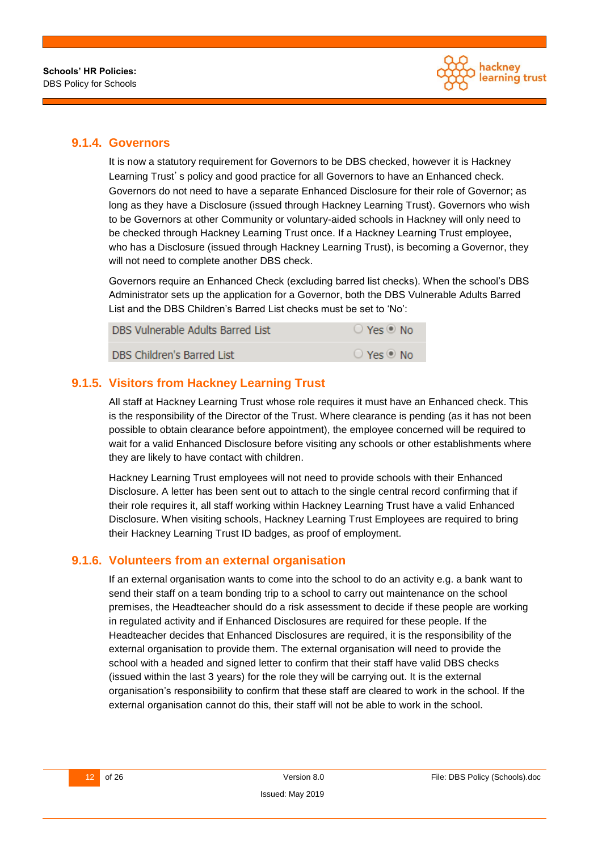

#### <span id="page-11-0"></span>**9.1.4. Governors**

It is now a statutory requirement for Governors to be DBS checked, however it is Hackney Learning Trust's policy and good practice for all Governors to have an Enhanced check. Governors do not need to have a separate Enhanced Disclosure for their role of Governor; as long as they have a Disclosure (issued through Hackney Learning Trust). Governors who wish to be Governors at other Community or voluntary-aided schools in Hackney will only need to be checked through Hackney Learning Trust once. If a Hackney Learning Trust employee, who has a Disclosure (issued through Hackney Learning Trust), is becoming a Governor, they will not need to complete another DBS check.

Governors require an Enhanced Check (excluding barred list checks). When the school's DBS Administrator sets up the application for a Governor, both the DBS Vulnerable Adults Barred List and the DBS Children's Barred List checks must be set to 'No':

| DBS Vulnerable Adults Barred List | $\bigcirc$ Yes $\circledcirc$ No |
|-----------------------------------|----------------------------------|
| DBS Children's Barred List        | $\bigcirc$ Yes $\circledcirc$ No |

#### <span id="page-11-1"></span>**9.1.5. Visitors from Hackney Learning Trust**

All staff at Hackney Learning Trust whose role requires it must have an Enhanced check. This is the responsibility of the Director of the Trust. Where clearance is pending (as it has not been possible to obtain clearance before appointment), the employee concerned will be required to wait for a valid Enhanced Disclosure before visiting any schools or other establishments where they are likely to have contact with children.

Hackney Learning Trust employees will not need to provide schools with their Enhanced Disclosure. A letter has been sent out to attach to the single central record confirming that if their role requires it, all staff working within Hackney Learning Trust have a valid Enhanced Disclosure. When visiting schools, Hackney Learning Trust Employees are required to bring their Hackney Learning Trust ID badges, as proof of employment.

#### <span id="page-11-2"></span>**9.1.6. Volunteers from an external organisation**

If an external organisation wants to come into the school to do an activity e.g. a bank want to send their staff on a team bonding trip to a school to carry out maintenance on the school premises, the Headteacher should do a risk assessment to decide if these people are working in regulated activity and if Enhanced Disclosures are required for these people. If the Headteacher decides that Enhanced Disclosures are required, it is the responsibility of the external organisation to provide them. The external organisation will need to provide the school with a headed and signed letter to confirm that their staff have valid DBS checks (issued within the last 3 years) for the role they will be carrying out. It is the external organisation's responsibility to confirm that these staff are cleared to work in the school. If the external organisation cannot do this, their staff will not be able to work in the school.

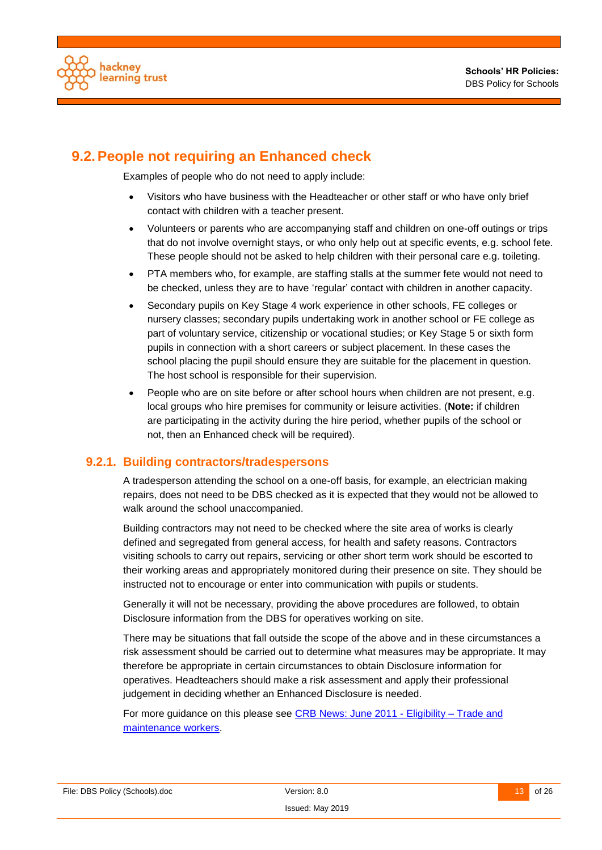

## <span id="page-12-0"></span>**9.2.People not requiring an Enhanced check**

Examples of people who do not need to apply include:

- Visitors who have business with the Headteacher or other staff or who have only brief contact with children with a teacher present.
- Volunteers or parents who are accompanying staff and children on one-off outings or trips that do not involve overnight stays, or who only help out at specific events, e.g. school fete. These people should not be asked to help children with their personal care e.g. toileting.
- PTA members who, for example, are staffing stalls at the summer fete would not need to be checked, unless they are to have 'regular' contact with children in another capacity.
- Secondary pupils on Key Stage 4 work experience in other schools, FE colleges or nursery classes; secondary pupils undertaking work in another school or FE college as part of voluntary service, citizenship or vocational studies; or Key Stage 5 or sixth form pupils in connection with a short careers or subject placement. In these cases the school placing the pupil should ensure they are suitable for the placement in question. The host school is responsible for their supervision.
- People who are on site before or after school hours when children are not present, e.g. local groups who hire premises for community or leisure activities. (**Note:** if children are participating in the activity during the hire period, whether pupils of the school or not, then an Enhanced check will be required).

#### <span id="page-12-1"></span>**9.2.1. Building contractors/tradespersons**

A tradesperson attending the school on a one-off basis, for example, an electrician making repairs, does not need to be DBS checked as it is expected that they would not be allowed to walk around the school unaccompanied.

Building contractors may not need to be checked where the site area of works is clearly defined and segregated from general access, for health and safety reasons. Contractors visiting schools to carry out repairs, servicing or other short term work should be escorted to their working areas and appropriately monitored during their presence on site. They should be instructed not to encourage or enter into communication with pupils or students.

Generally it will not be necessary, providing the above procedures are followed, to obtain Disclosure information from the DBS for operatives working on site.

There may be situations that fall outside the scope of the above and in these circumstances a risk assessment should be carried out to determine what measures may be appropriate. It may therefore be appropriate in certain circumstances to obtain Disclosure information for operatives. Headteachers should make a risk assessment and apply their professional judgement in deciding whether an Enhanced Disclosure is needed.

For more guidance on this please see CRB [News: June 2011 -](http://webarchive.nationalarchives.gov.uk/20121114084215/http:/www.homeoffice.gov.uk/publications/agencies-public-bodies/CRB/crb-newsletters/crb-news-2011/crb-news-june-2011?view=Binary) Eligibility – Trade and [maintenance workers.](http://webarchive.nationalarchives.gov.uk/20121114084215/http:/www.homeoffice.gov.uk/publications/agencies-public-bodies/CRB/crb-newsletters/crb-news-2011/crb-news-june-2011?view=Binary)

File: DBS Policy (Schools).doc **Network** Version: 8.0 13 of 26 13 of 26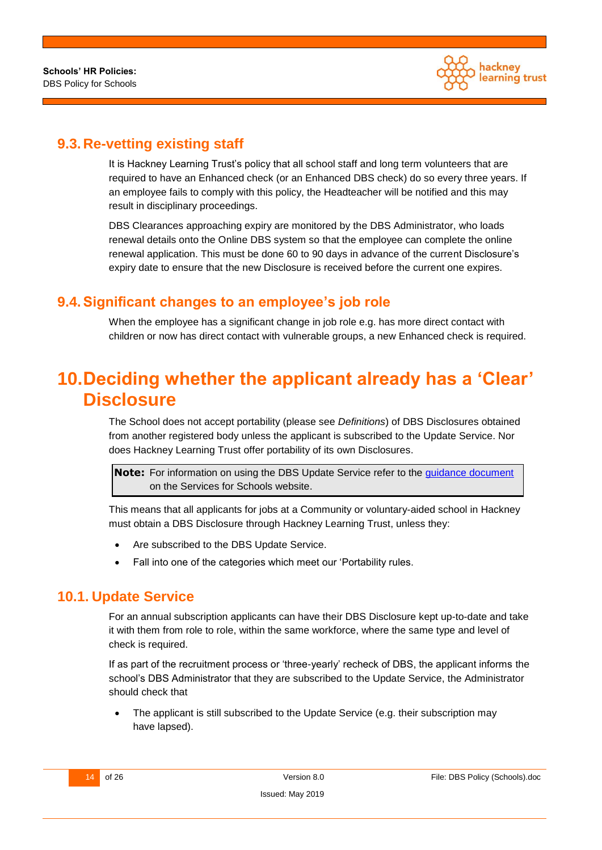

## <span id="page-13-0"></span>**9.3. Re-vetting existing staff**

It is Hackney Learning Trust's policy that all school staff and long term volunteers that are required to have an Enhanced check (or an Enhanced DBS check) do so every three years. If an employee fails to comply with this policy, the Headteacher will be notified and this may result in disciplinary proceedings.

DBS Clearances approaching expiry are monitored by the DBS Administrator, who loads renewal details onto the Online DBS system so that the employee can complete the online renewal application. This must be done 60 to 90 days in advance of the current Disclosure's expiry date to ensure that the new Disclosure is received before the current one expires.

## <span id="page-13-1"></span>**9.4.Significant changes to an employee's job role**

When the employee has a significant change in job role e.g. has more direct contact with children or now has direct contact with vulnerable groups, a new Enhanced check is required.

# <span id="page-13-2"></span>**10.Deciding whether the applicant already has a 'Clear' Disclosure**

The School does not accept portability (please see *[Definitions](#page-4-1)*) of DBS Disclosures obtained from another registered body unless the applicant is subscribed to the Update Service. Nor does Hackney Learning Trust offer portability of its own Disclosures.

**Note:** For information on using the DBS Update Service refer to the [guidance document](https://www.hackneyservicesforschools.co.uk/system/files/extranet/Guidance%20on%20Using%20the%20DBS%20Update%20Service.pdf) on the Services for Schools website.

This means that all applicants for jobs at a Community or voluntary-aided school in Hackney must obtain a DBS Disclosure through Hackney Learning Trust, unless they:

- Are subscribed to the DBS Update Service.
- Fall into one of the categories which meet our 'Portability rules.

### <span id="page-13-3"></span>**10.1. Update Service**

For an annual subscription applicants can have their DBS Disclosure kept up-to-date and take it with them from role to role, within the same workforce, where the same type and level of check is required.

If as part of the recruitment process or 'three-yearly' recheck of DBS, the applicant informs the school's DBS Administrator that they are subscribed to the Update Service, the Administrator should check that

 The applicant is still subscribed to the Update Service (e.g. their subscription may have lapsed).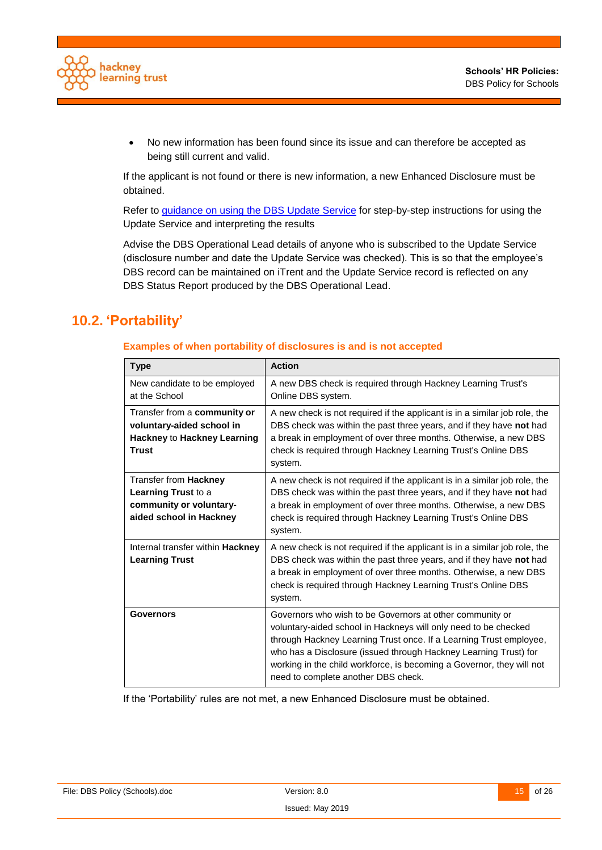

 No new information has been found since its issue and can therefore be accepted as being still current and valid.

If the applicant is not found or there is new information, a new Enhanced Disclosure must be obtained.

Refer to guidance on [using the DBS Update Service](https://www.hackneyservicesforschools.co.uk/system/files/extranet/Guidance%20on%20Using%20the%20DBS%20Update%20Service.pdf) for step-by-step instructions for using the Update Service and interpreting the results

Advise the DBS Operational Lead details of anyone who is subscribed to the Update Service (disclosure number and date the Update Service was checked). This is so that the employee's DBS record can be maintained on iTrent and the Update Service record is reflected on any DBS Status Report produced by the DBS Operational Lead.

## <span id="page-14-0"></span>**10.2. 'Portability'**

#### **Examples of when portability of disclosures is and is not accepted**

| <b>Type</b>                                                                                              | <b>Action</b>                                                                                                                                                                                                                                                                                                                                                                         |
|----------------------------------------------------------------------------------------------------------|---------------------------------------------------------------------------------------------------------------------------------------------------------------------------------------------------------------------------------------------------------------------------------------------------------------------------------------------------------------------------------------|
| New candidate to be employed<br>at the School                                                            | A new DBS check is required through Hackney Learning Trust's<br>Online DBS system.                                                                                                                                                                                                                                                                                                    |
| Transfer from a community or<br>voluntary-aided school in<br>Hackney to Hackney Learning<br><b>Trust</b> | A new check is not required if the applicant is in a similar job role, the<br>DBS check was within the past three years, and if they have not had<br>a break in employment of over three months. Otherwise, a new DBS<br>check is required through Hackney Learning Trust's Online DBS<br>system.                                                                                     |
| Transfer from Hackney<br>Learning Trust to a<br>community or voluntary-<br>aided school in Hackney       | A new check is not required if the applicant is in a similar job role, the<br>DBS check was within the past three years, and if they have not had<br>a break in employment of over three months. Otherwise, a new DBS<br>check is required through Hackney Learning Trust's Online DBS<br>system.                                                                                     |
| Internal transfer within <b>Hackney</b><br><b>Learning Trust</b>                                         | A new check is not required if the applicant is in a similar job role, the<br>DBS check was within the past three years, and if they have not had<br>a break in employment of over three months. Otherwise, a new DBS<br>check is required through Hackney Learning Trust's Online DBS<br>system.                                                                                     |
| Governors                                                                                                | Governors who wish to be Governors at other community or<br>voluntary-aided school in Hackneys will only need to be checked<br>through Hackney Learning Trust once. If a Learning Trust employee,<br>who has a Disclosure (issued through Hackney Learning Trust) for<br>working in the child workforce, is becoming a Governor, they will not<br>need to complete another DBS check. |

If the 'Portability' rules are not met, a new Enhanced Disclosure must be obtained.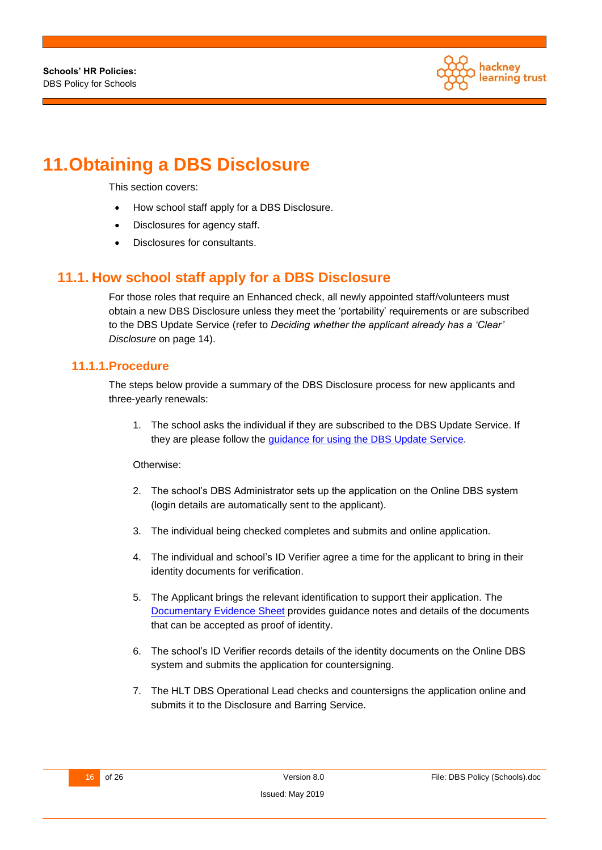

# <span id="page-15-0"></span>**11.Obtaining a DBS Disclosure**

This section covers:

- How school staff apply for a DBS Disclosure.
- Disclosures for agency staff.
- Disclosures for consultants.

### <span id="page-15-1"></span>**11.1. How school staff apply for a DBS Disclosure**

For those roles that require an Enhanced check, all newly appointed staff/volunteers must obtain a new DBS Disclosure unless they meet the 'portability' requirements or are subscribed to the DBS Update Service (refer to *[Deciding whether the applicant already has a 'Clear'](#page-13-2) [Disclosure](#page-13-2)* on page [14\)](#page-13-2).

#### <span id="page-15-2"></span>**11.1.1.Procedure**

The steps below provide a summary of the DBS Disclosure process for new applicants and three-yearly renewals:

1. The school asks the individual if they are subscribed to the DBS Update Service. If they are please follow the [guidance for using the DBS Update Service.](https://www.hackneyservicesforschools.co.uk/system/files/extranet/Guidance%20on%20Using%20the%20DBS%20Update%20Service.pdf)

Otherwise:

- 2. The school's DBS Administrator sets up the application on the Online DBS system (login details are automatically sent to the applicant).
- 3. The individual being checked completes and submits and online application.
- 4. The individual and school's ID Verifier agree a time for the applicant to bring in their identity documents for verification.
- 5. The Applicant brings the relevant identification to support their application. The [Documentary Evidence Sheet](https://www.hackneyservicesforschools.co.uk/system/files/extranet/DBS%20Documentary%20Evidence%20Sheet.pdf) provides guidance notes and details of the documents that can be accepted as proof of identity.
- 6. The school's ID Verifier records details of the identity documents on the Online DBS system and submits the application for countersigning.
- 7. The HLT DBS Operational Lead checks and countersigns the application online and submits it to the Disclosure and Barring Service.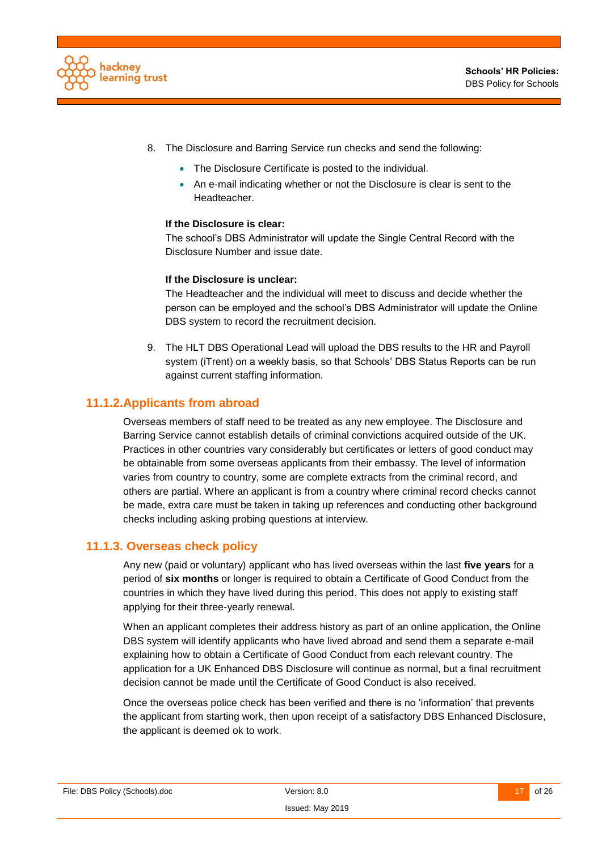

- 8. The Disclosure and Barring Service run checks and send the following:
	- The Disclosure Certificate is posted to the individual.
	- An e-mail indicating whether or not the Disclosure is clear is sent to the Headteacher.

#### **If the Disclosure is clear:**

The school's DBS Administrator will update the Single Central Record with the Disclosure Number and issue date.

#### **If the Disclosure is unclear:**

The Headteacher and the individual will meet to discuss and decide whether the person can be employed and the school's DBS Administrator will update the Online DBS system to record the recruitment decision.

9. The HLT DBS Operational Lead will upload the DBS results to the HR and Payroll system (iTrent) on a weekly basis, so that Schools' DBS Status Reports can be run against current staffing information.

#### <span id="page-16-0"></span>**11.1.2.Applicants from abroad**

Overseas members of staff need to be treated as any new employee. The Disclosure and Barring Service cannot establish details of criminal convictions acquired outside of the UK. Practices in other countries vary considerably but certificates or letters of good conduct may be obtainable from some overseas applicants from their embassy. The level of information varies from country to country, some are complete extracts from the criminal record, and others are partial. Where an applicant is from a country where criminal record checks cannot be made, extra care must be taken in taking up references and conducting other background checks including asking probing questions at interview.

#### **11.1.3. Overseas check policy**

<span id="page-16-1"></span>Any new (paid or voluntary) applicant who has lived overseas within the last **five years** for a period of **six months** or longer is required to obtain a Certificate of Good Conduct from the countries in which they have lived during this period. This does not apply to existing staff applying for their three-yearly renewal.

When an applicant completes their address history as part of an online application, the Online DBS system will identify applicants who have lived abroad and send them a separate e-mail explaining how to obtain a Certificate of Good Conduct from each relevant country. The application for a UK Enhanced DBS Disclosure will continue as normal, but a final recruitment decision cannot be made until the Certificate of Good Conduct is also received.

Once the overseas police check has been verified and there is no 'information' that prevents the applicant from starting work, then upon receipt of a satisfactory DBS Enhanced Disclosure, the applicant is deemed ok to work.

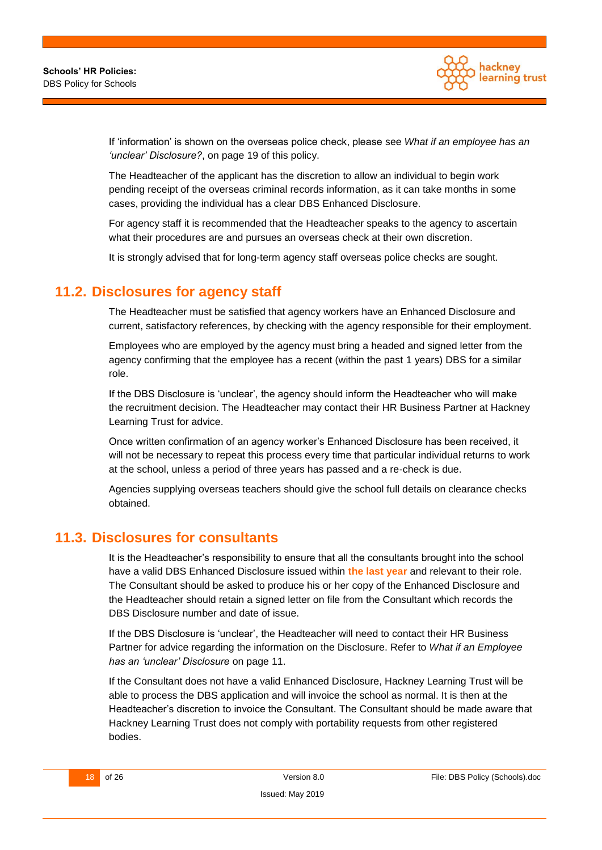

If 'information' is shown on the overseas police check, please see *[What if an employee has an](#page-18-2)  ['unclear' Disclosure?](#page-18-2)*, on page [19](#page-18-2) of this policy.

The Headteacher of the applicant has the discretion to allow an individual to begin work pending receipt of the overseas criminal records information, as it can take months in some cases, providing the individual has a clear DBS Enhanced Disclosure.

For agency staff it is recommended that the Headteacher speaks to the agency to ascertain what their procedures are and pursues an overseas check at their own discretion.

It is strongly advised that for long-term agency staff overseas police checks are sought.

### <span id="page-17-0"></span>**11.2. Disclosures for agency staff**

The Headteacher must be satisfied that agency workers have an Enhanced Disclosure and current, satisfactory references, by checking with the agency responsible for their employment.

Employees who are employed by the agency must bring a headed and signed letter from the agency confirming that the employee has a recent (within the past 1 years) DBS for a similar role.

If the DBS Disclosure is 'unclear', the agency should inform the Headteacher who will make the recruitment decision. The Headteacher may contact their HR Business Partner at Hackney Learning Trust for advice.

Once written confirmation of an agency worker's Enhanced Disclosure has been received, it will not be necessary to repeat this process every time that particular individual returns to work at the school, unless a period of three years has passed and a re-check is due.

Agencies supplying overseas teachers should give the school full details on clearance checks obtained.

#### <span id="page-17-1"></span>**11.3. Disclosures for consultants**

It is the Headteacher's responsibility to ensure that all the consultants brought into the school have a valid DBS Enhanced Disclosure issued within **the last year** and relevant to their role. The Consultant should be asked to produce his or her copy of the Enhanced Disclosure and the Headteacher should retain a signed letter on file from the Consultant which records the DBS Disclosure number and date of issue.

If the DBS Disclosure is 'unclear', the Headteacher will need to contact their HR Business Partner for advice regarding the information on the Disclosure. Refer to *What if an Employee has an 'unclear' Disclosure* on page 11.

If the Consultant does not have a valid Enhanced Disclosure, Hackney Learning Trust will be able to process the DBS application and will invoice the school as normal. It is then at the Headteacher's discretion to invoice the Consultant. The Consultant should be made aware that Hackney Learning Trust does not comply with portability requests from other registered bodies.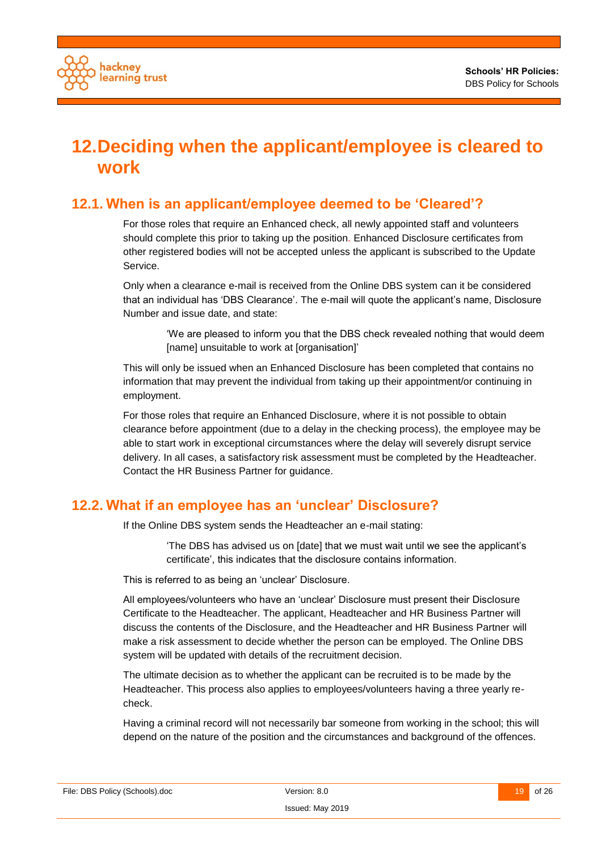

# <span id="page-18-0"></span>**12.Deciding when the applicant/employee is cleared to work**

## <span id="page-18-1"></span>**12.1. When is an applicant/employee deemed to be 'Cleared'?**

For those roles that require an Enhanced check, all newly appointed staff and volunteers should complete this prior to taking up the position. Enhanced Disclosure certificates from other registered bodies will not be accepted unless the applicant is subscribed to the Update Service.

Only when a clearance e-mail is received from the Online DBS system can it be considered that an individual has 'DBS Clearance'. The e-mail will quote the applicant's name, Disclosure Number and issue date, and state:

> 'We are pleased to inform you that the DBS check revealed nothing that would deem [name] unsuitable to work at [organisation]'

This will only be issued when an Enhanced Disclosure has been completed that contains no information that may prevent the individual from taking up their appointment/or continuing in employment.

For those roles that require an Enhanced Disclosure, where it is not possible to obtain clearance before appointment (due to a delay in the checking process), the employee may be able to start work in exceptional circumstances where the delay will severely disrupt service delivery. In all cases, a satisfactory risk assessment must be completed by the Headteacher. Contact the HR Business Partner for guidance.

### <span id="page-18-2"></span>**12.2. What if an employee has an 'unclear' Disclosure?**

If the Online DBS system sends the Headteacher an e-mail stating:

'The DBS has advised us on [date] that we must wait until we see the applicant's certificate', this indicates that the disclosure contains information.

This is referred to as being an 'unclear' Disclosure.

All employees/volunteers who have an 'unclear' Disclosure must present their Disclosure Certificate to the Headteacher. The applicant, Headteacher and HR Business Partner will discuss the contents of the Disclosure, and the Headteacher and HR Business Partner will make a risk assessment to decide whether the person can be employed. The Online DBS system will be updated with details of the recruitment decision.

The ultimate decision as to whether the applicant can be recruited is to be made by the Headteacher. This process also applies to employees/volunteers having a three yearly recheck.

Having a criminal record will not necessarily bar someone from working in the school; this will depend on the nature of the position and the circumstances and background of the offences.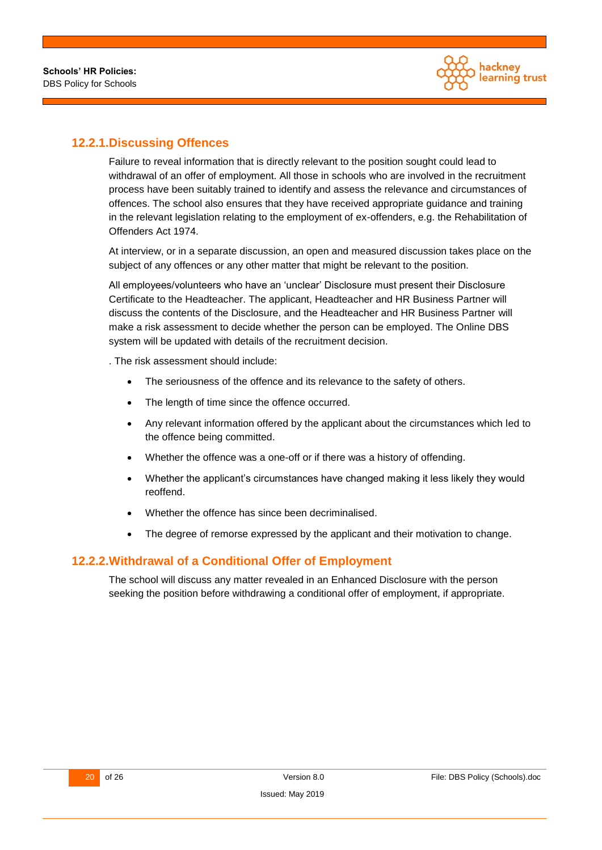

#### <span id="page-19-0"></span>**12.2.1.Discussing Offences**

Failure to reveal information that is directly relevant to the position sought could lead to withdrawal of an offer of employment. All those in schools who are involved in the recruitment process have been suitably trained to identify and assess the relevance and circumstances of offences. The school also ensures that they have received appropriate guidance and training in the relevant legislation relating to the employment of ex-offenders, e.g. the Rehabilitation of Offenders Act 1974.

At interview, or in a separate discussion, an open and measured discussion takes place on the subject of any offences or any other matter that might be relevant to the position.

All employees/volunteers who have an 'unclear' Disclosure must present their Disclosure Certificate to the Headteacher. The applicant, Headteacher and HR Business Partner will discuss the contents of the Disclosure, and the Headteacher and HR Business Partner will make a risk assessment to decide whether the person can be employed. The Online DBS system will be updated with details of the recruitment decision.

. The risk assessment should include:

- The seriousness of the offence and its relevance to the safety of others.
- The length of time since the offence occurred.
- Any relevant information offered by the applicant about the circumstances which led to the offence being committed.
- Whether the offence was a one-off or if there was a history of offending.
- Whether the applicant's circumstances have changed making it less likely they would reoffend.
- Whether the offence has since been decriminalised.
- The degree of remorse expressed by the applicant and their motivation to change.

#### <span id="page-19-1"></span>**12.2.2.Withdrawal of a Conditional Offer of Employment**

The school will discuss any matter revealed in an Enhanced Disclosure with the person seeking the position before withdrawing a conditional offer of employment, if appropriate.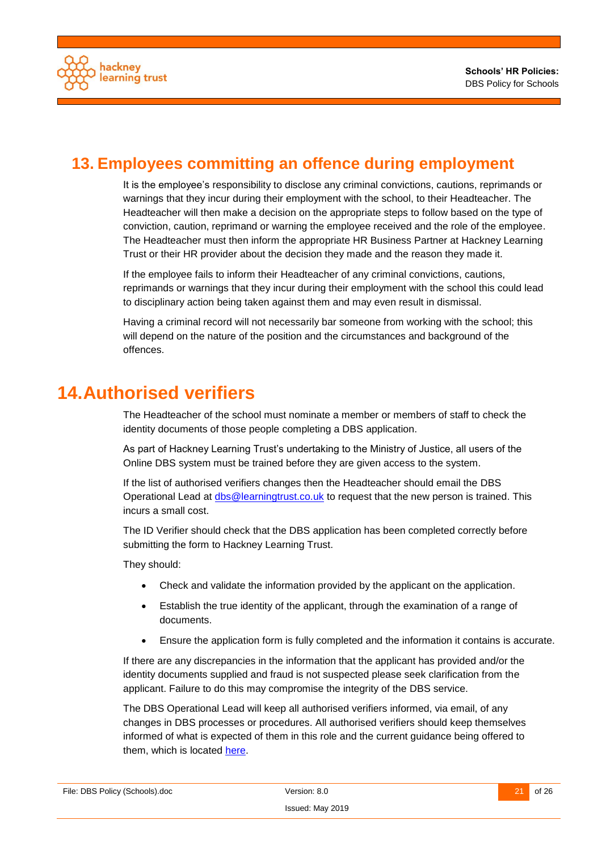

## <span id="page-20-0"></span>**13. Employees committing an offence during employment**

It is the employee's responsibility to disclose any criminal convictions, cautions, reprimands or warnings that they incur during their employment with the school, to their Headteacher. The Headteacher will then make a decision on the appropriate steps to follow based on the type of conviction, caution, reprimand or warning the employee received and the role of the employee. The Headteacher must then inform the appropriate HR Business Partner at Hackney Learning Trust or their HR provider about the decision they made and the reason they made it.

If the employee fails to inform their Headteacher of any criminal convictions, cautions, reprimands or warnings that they incur during their employment with the school this could lead to disciplinary action being taken against them and may even result in dismissal.

Having a criminal record will not necessarily bar someone from working with the school; this will depend on the nature of the position and the circumstances and background of the offences.

## <span id="page-20-1"></span>**14.Authorised verifiers**

The Headteacher of the school must nominate a member or members of staff to check the identity documents of those people completing a DBS application.

As part of Hackney Learning Trust's undertaking to the Ministry of Justice, all users of the Online DBS system must be trained before they are given access to the system.

If the list of authorised verifiers changes then the Headteacher should email the DBS Operational Lead at [dbs@learningtrust.co.uk](mailto:dbs@learningtrust.co.uk) to request that the new person is trained. This incurs a small cost.

The ID Verifier should check that the DBS application has been completed correctly before submitting the form to Hackney Learning Trust.

They should:

- Check and validate the information provided by the applicant on the application.
- Establish the true identity of the applicant, through the examination of a range of documents.
- Ensure the application form is fully completed and the information it contains is accurate.

If there are any discrepancies in the information that the applicant has provided and/or the identity documents supplied and fraud is not suspected please seek clarification from the applicant. Failure to do this may compromise the integrity of the DBS service.

The DBS Operational Lead will keep all authorised verifiers informed, via email, of any changes in DBS processes or procedures. All authorised verifiers should keep themselves informed of what is expected of them in this role and the current guidance being offered to them, which is located [here.](http://www.homeoffice.gov.uk/publications/agencies-public-bodies/dbs/dbs-checking-service-guidance/identity-checking-guidelines?view=Binary)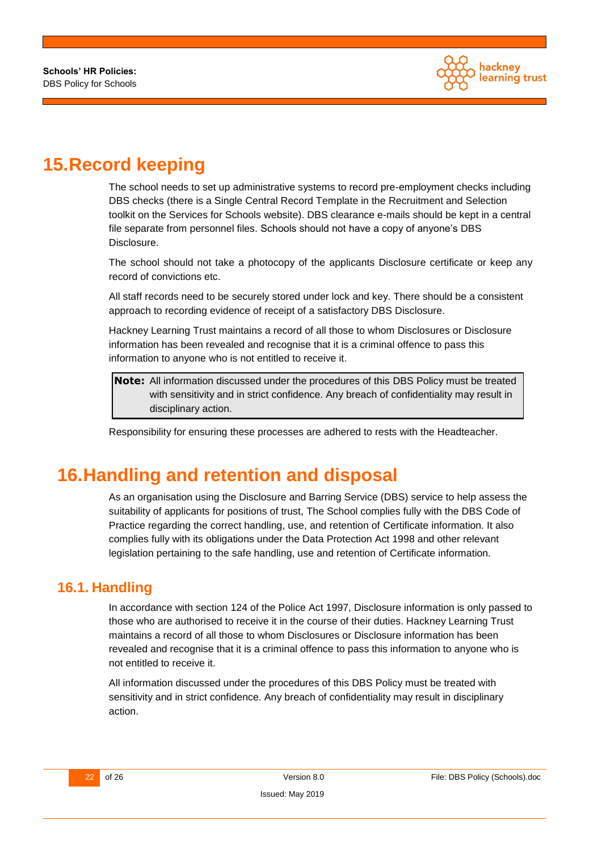

# <span id="page-21-0"></span>**15.Record keeping**

The school needs to set up administrative systems to record pre-employment checks including DBS checks (there is a Single Central Record Template in the Recruitment and Selection toolkit on the Services for Schools website). DBS clearance e-mails should be kept in a central file separate from personnel files. Schools should not have a copy of anyone's DBS Disclosure.

The school should not take a photocopy of the applicants Disclosure certificate or keep any record of convictions etc.

All staff records need to be securely stored under lock and key. There should be a consistent approach to recording evidence of receipt of a satisfactory DBS Disclosure.

Hackney Learning Trust maintains a record of all those to whom Disclosures or Disclosure information has been revealed and recognise that it is a criminal offence to pass this information to anyone who is not entitled to receive it.

**Note:** All information discussed under the procedures of this DBS Policy must be treated with sensitivity and in strict confidence. Any breach of confidentiality may result in disciplinary action.

Responsibility for ensuring these processes are adhered to rests with the Headteacher.

# <span id="page-21-1"></span>**16.Handling and retention and disposal**

As an organisation using the Disclosure and Barring Service (DBS) service to help assess the suitability of applicants for positions of trust, The School complies fully with the DBS Code of Practice regarding the correct handling, use, and retention of Certificate information. It also complies fully with its obligations under the Data Protection Act 1998 and other relevant legislation pertaining to the safe handling, use and retention of Certificate information.

### <span id="page-21-2"></span>**16.1. Handling**

In accordance with section 124 of the Police Act 1997, Disclosure information is only passed to those who are authorised to receive it in the course of their duties. Hackney Learning Trust maintains a record of all those to whom Disclosures or Disclosure information has been revealed and recognise that it is a criminal offence to pass this information to anyone who is not entitled to receive it.

All information discussed under the procedures of this DBS Policy must be treated with sensitivity and in strict confidence. Any breach of confidentiality may result in disciplinary action.

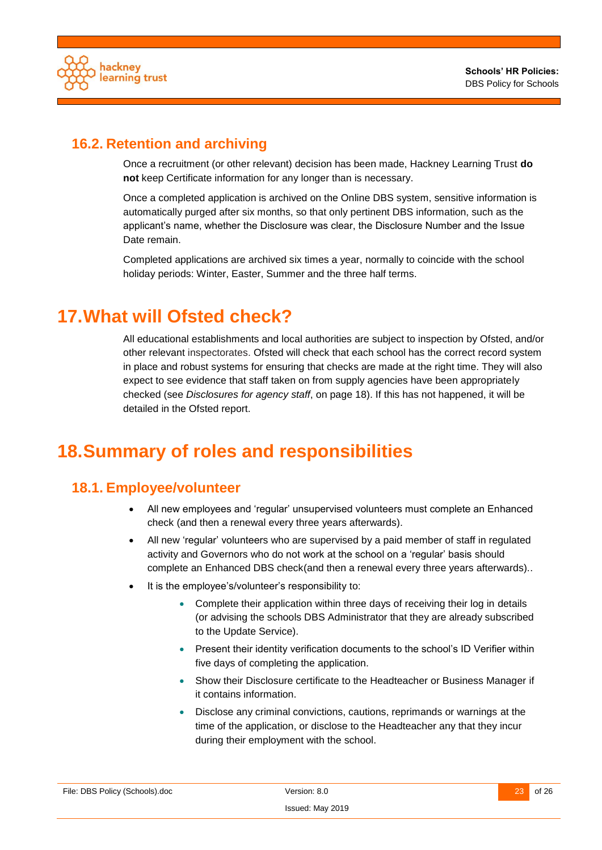

## <span id="page-22-0"></span>**16.2. Retention and archiving**

Once a recruitment (or other relevant) decision has been made, Hackney Learning Trust **do not** keep Certificate information for any longer than is necessary.

Once a completed application is archived on the Online DBS system, sensitive information is automatically purged after six months, so that only pertinent DBS information, such as the applicant's name, whether the Disclosure was clear, the Disclosure Number and the Issue Date remain.

Completed applications are archived six times a year, normally to coincide with the school holiday periods: Winter, Easter, Summer and the three half terms.

# <span id="page-22-1"></span>**17.What will Ofsted check?**

All educational establishments and local authorities are subject to inspection by Ofsted, and/or other relevant inspectorates. Ofsted will check that each school has the correct record system in place and robust systems for ensuring that checks are made at the right time. They will also expect to see evidence that staff taken on from supply agencies have been appropriately checked (see *[Disclosures for agency staff](#page-17-0)*, on page [18\)](#page-17-0). If this has not happened, it will be detailed in the Ofsted report.

## <span id="page-22-2"></span>**18.Summary of roles and responsibilities**

## <span id="page-22-3"></span>**18.1. Employee/volunteer**

- All new employees and 'regular' unsupervised volunteers must complete an Enhanced check (and then a renewal every three years afterwards).
- All new 'regular' volunteers who are supervised by a paid member of staff in regulated activity and Governors who do not work at the school on a 'regular' basis should complete an Enhanced DBS check(and then a renewal every three years afterwards)..
- It is the employee's/volunteer's responsibility to:
	- Complete their application within three days of receiving their log in details (or advising the schools DBS Administrator that they are already subscribed to the Update Service).
	- Present their identity verification documents to the school's ID Verifier within five days of completing the application.
	- Show their Disclosure certificate to the Headteacher or Business Manager if it contains information.
	- Disclose any criminal convictions, cautions, reprimands or warnings at the time of the application, or disclose to the Headteacher any that they incur during their employment with the school.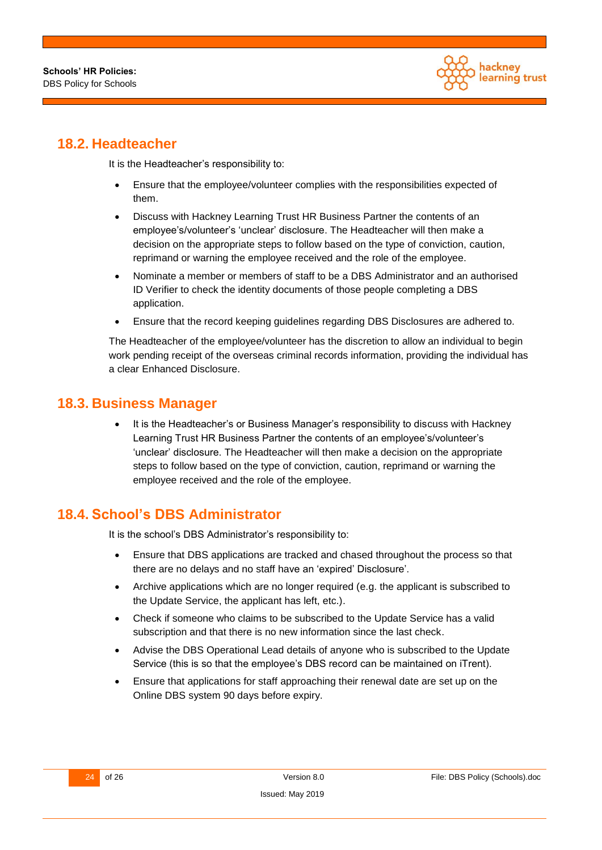

## <span id="page-23-0"></span>**18.2. Headteacher**

It is the Headteacher's responsibility to:

- Ensure that the employee/volunteer complies with the responsibilities expected of them.
- Discuss with Hackney Learning Trust HR Business Partner the contents of an employee's/volunteer's 'unclear' disclosure. The Headteacher will then make a decision on the appropriate steps to follow based on the type of conviction, caution, reprimand or warning the employee received and the role of the employee.
- Nominate a member or members of staff to be a DBS Administrator and an authorised ID Verifier to check the identity documents of those people completing a DBS application.
- Ensure that the record keeping guidelines regarding DBS Disclosures are adhered to.

The Headteacher of the employee/volunteer has the discretion to allow an individual to begin work pending receipt of the overseas criminal records information, providing the individual has a clear Enhanced Disclosure.

#### <span id="page-23-1"></span>**18.3. Business Manager**

 It is the Headteacher's or Business Manager's responsibility to discuss with Hackney Learning Trust HR Business Partner the contents of an employee's/volunteer's 'unclear' disclosure. The Headteacher will then make a decision on the appropriate steps to follow based on the type of conviction, caution, reprimand or warning the employee received and the role of the employee.

## <span id="page-23-2"></span>**18.4. School's DBS Administrator**

It is the school's DBS Administrator's responsibility to:

- Ensure that DBS applications are tracked and chased throughout the process so that there are no delays and no staff have an 'expired' Disclosure'.
- Archive applications which are no longer required (e.g. the applicant is subscribed to the Update Service, the applicant has left, etc.).
- Check if someone who claims to be subscribed to the Update Service has a valid subscription and that there is no new information since the last check.
- Advise the DBS Operational Lead details of anyone who is subscribed to the Update Service (this is so that the employee's DBS record can be maintained on iTrent).
- Ensure that applications for staff approaching their renewal date are set up on the Online DBS system 90 days before expiry.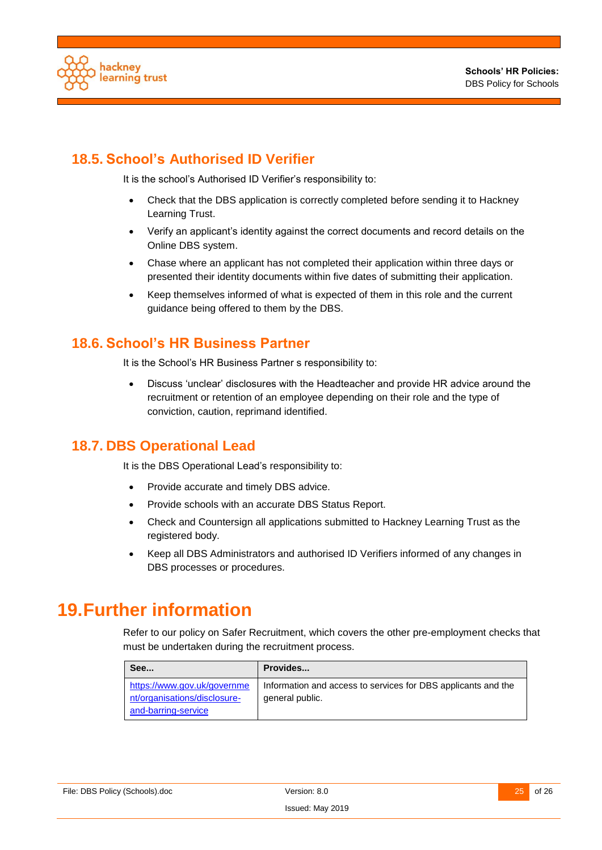

## <span id="page-24-0"></span>**18.5. School's Authorised ID Verifier**

It is the school's Authorised ID Verifier's responsibility to:

- Check that the DBS application is correctly completed before sending it to Hackney Learning Trust.
- Verify an applicant's identity against the correct documents and record details on the Online DBS system.
- Chase where an applicant has not completed their application within three days or presented their identity documents within five dates of submitting their application.
- Keep themselves informed of what is expected of them in this role and the current guidance being offered to them by the DBS.

#### <span id="page-24-1"></span>**18.6. School's HR Business Partner**

It is the School's HR Business Partner s responsibility to:

 Discuss 'unclear' disclosures with the Headteacher and provide HR advice around the recruitment or retention of an employee depending on their role and the type of conviction, caution, reprimand identified.

### <span id="page-24-2"></span>**18.7. DBS Operational Lead**

It is the DBS Operational Lead's responsibility to:

- Provide accurate and timely DBS advice.
- Provide schools with an accurate DBS Status Report.
- Check and Countersign all applications submitted to Hackney Learning Trust as the registered body.
- Keep all DBS Administrators and authorised ID Verifiers informed of any changes in DBS processes or procedures.

## <span id="page-24-3"></span>**19.Further information**

Refer to our policy on Safer Recruitment, which covers the other pre-employment checks that must be undertaken during the recruitment process.

| See                                                                                | Provides                                                                         |
|------------------------------------------------------------------------------------|----------------------------------------------------------------------------------|
| https://www.gov.uk/governme<br>nt/organisations/disclosure-<br>and-barring-service | Information and access to services for DBS applicants and the<br>general public. |